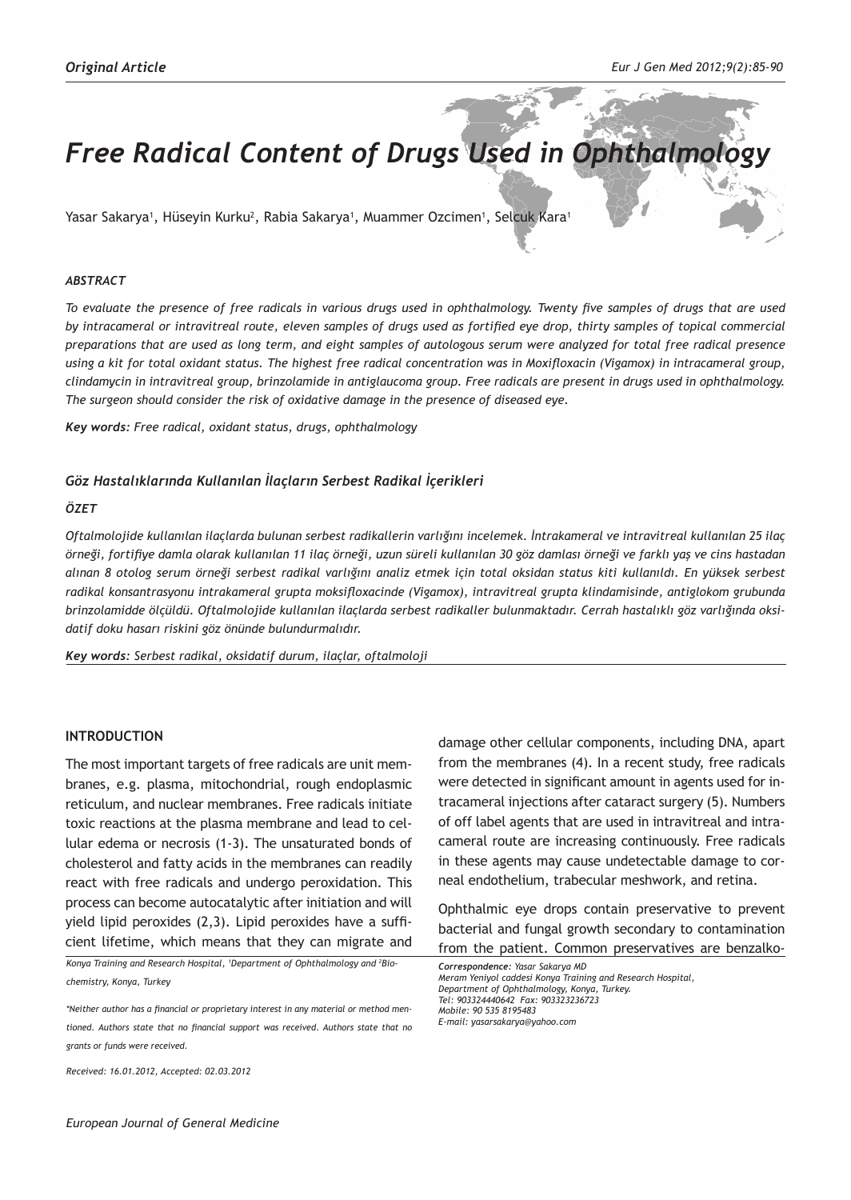# **Free Radical Content of Drugs Used in Ophthalmog**

Yasar Sakarya', Hüseyin Kurku<sup>2</sup>, Rabia Sakarya', Muammer Ozcimen', Selcuk Kara'

#### *ABSTRACT*

*To evaluate the presence of free radicals in various drugs used in ophthalmology. Twenty five samples of drugs that are used by intracameral or intravitreal route, eleven samples of drugs used as fortified eye drop, thirty samples of topical commercial preparations that are used as long term, and eight samples of autologous serum were analyzed for total free radical presence using a kit for total oxidant status. The highest free radical concentration was in Moxifloxacin (Vigamox) in intracameral group, clindamycin in intravitreal group, brinzolamide in antiglaucoma group. Free radicals are present in drugs used in ophthalmology. The surgeon should consider the risk of oxidative damage in the presence of diseased eye.*

*Key words: Free radical, oxidant status, drugs, ophthalmology* 

#### *Göz Hastalıklarında Kullanılan İlaçların Serbest Radikal İçerikleri*

#### *ÖZET*

*Oftalmolojide kullanılan ilaçlarda bulunan serbest radikallerin varlığını incelemek. İntrakameral ve intravitreal kullanılan 25 ilaç örneği, fortifiye damla olarak kullanılan 11 ilaç örneği, uzun süreli kullanılan 30 göz damlası örneği ve farklı yaş ve cins hastadan alınan 8 otolog serum örneği serbest radikal varlığını analiz etmek için total oksidan status kiti kullanıldı. En yüksek serbest radikal konsantrasyonu intrakameral grupta moksifloxacinde (Vigamox), intravitreal grupta klindamisinde, antiglokom grubunda brinzolamidde ölçüldü. Oftalmolojide kullanılan ilaçlarda serbest radikaller bulunmaktadır. Cerrah hastalıklı göz varlığında oksidatif doku hasarı riskini göz önünde bulundurmalıdır.*

*Key words: Serbest radikal, oksidatif durum, ilaçlar, oftalmoloji*

#### **INTRODUCTION**

The most important targets of free radicals are unit membranes, e.g. plasma, mitochondrial, rough endoplasmic reticulum, and nuclear membranes. Free radicals initiate toxic reactions at the plasma membrane and lead to cellular edema or necrosis (1-3). The unsaturated bonds of cholesterol and fatty acids in the membranes can readily react with free radicals and undergo peroxidation. This process can become autocatalytic after initiation and will yield lipid peroxides (2,3). Lipid peroxides have a sufficient lifetime, which means that they can migrate and

Konya Training and Research Hospital, <sup>1</sup>Department of Ophthalmology and <sup>2</sup>Bio*chemistry, Konya, Turkey*

*\*Neither author has a financial or proprietary interest in any material or method mentioned. Authors state that no financial support was received. Authors state that no grants or funds were received.*

*Received: 16.01.2012, Accepted: 02.03.2012*

*European Journal of General Medicine*

damage other cellular components, including DNA, apart from the membranes (4). In a recent study, free radicals were detected in significant amount in agents used for intracameral injections after cataract surgery (5). Numbers of off label agents that are used in intravitreal and intracameral route are increasing continuously. Free radicals in these agents may cause undetectable damage to corneal endothelium, trabecular meshwork, and retina.

Ophthalmic eye drops contain preservative to prevent bacterial and fungal growth secondary to contamination from the patient. Common preservatives are benzalko-

*Correspondence: Yasar Sakarya MD Meram Yeniyol caddesi Konya Training and Research Hospital, Department of Ophthalmology, Konya, Turkey. Tel: 903324440642 Fax: 903323236723 Mobile: 90 535 8195483 E-mail: yasarsakarya@yahoo.com*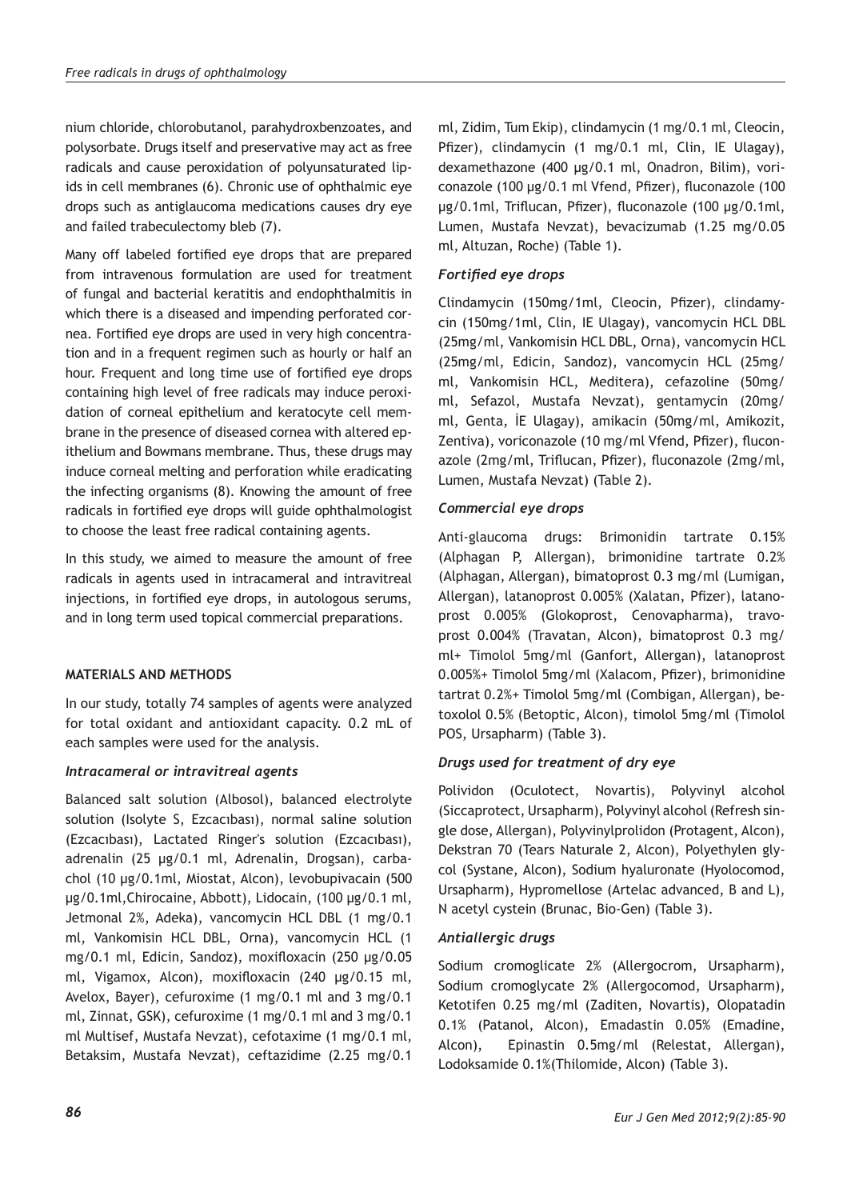nium chloride, chlorobutanol, parahydroxbenzoates, and polysorbate. Drugs itself and preservative may act as free radicals and cause peroxidation of polyunsaturated lipids in cell membranes (6). Chronic use of ophthalmic eye drops such as antiglaucoma medications causes dry eye and failed trabeculectomy bleb (7).

Many off labeled fortified eye drops that are prepared from intravenous formulation are used for treatment of fungal and bacterial keratitis and endophthalmitis in which there is a diseased and impending perforated cornea. Fortified eye drops are used in very high concentration and in a frequent regimen such as hourly or half an hour. Frequent and long time use of fortified eye drops containing high level of free radicals may induce peroxidation of corneal epithelium and keratocyte cell membrane in the presence of diseased cornea with altered epithelium and Bowmans membrane. Thus, these drugs may induce corneal melting and perforation while eradicating the infecting organisms (8). Knowing the amount of free radicals in fortified eye drops will guide ophthalmologist to choose the least free radical containing agents.

In this study, we aimed to measure the amount of free radicals in agents used in intracameral and intravitreal injections, in fortified eye drops, in autologous serums, and in long term used topical commercial preparations.

# **MATERIALS AND METHODS**

In our study, totally 74 samples of agents were analyzed for total oxidant and antioxidant capacity. 0.2 mL of each samples were used for the analysis.

# *Intracameral or intravitreal agents*

Balanced salt solution (Albosol), balanced electrolyte solution (Isolyte S, Ezcacıbası), normal saline solution (Ezcacıbası), Lactated Ringer's solution (Ezcacıbası), adrenalin (25 µg/0.1 ml, Adrenalin, Drogsan), carbachol (10 µg/0.1ml, Miostat, Alcon), levobupivacain (500 µg/0.1ml,Chirocaine, Abbott), Lidocain, (100 µg/0.1 ml, Jetmonal 2%, Adeka), vancomycin HCL DBL (1 mg/0.1 ml, Vankomisin HCL DBL, Orna), vancomycin HCL (1 mg/0.1 ml, Edicin, Sandoz), moxifloxacin (250 µg/0.05 ml, Vigamox, Alcon), moxifloxacin (240 µg/0.15 ml, Avelox, Bayer), cefuroxime (1 mg/0.1 ml and 3 mg/0.1 ml, Zinnat, GSK), cefuroxime (1 mg/0.1 ml and 3 mg/0.1 ml Multisef, Mustafa Nevzat), cefotaxime (1 mg/0.1 ml, Betaksim, Mustafa Nevzat), ceftazidime (2.25 mg/0.1 ml, Zidim, Tum Ekip), clindamycin (1 mg/0.1 ml, Cleocin, Pfizer), clindamycin (1 mg/0.1 ml, Clin, IE Ulagay), dexamethazone (400 µg/0.1 ml, Onadron, Bilim), voriconazole (100 µg/0.1 ml Vfend, Pfizer), fluconazole (100 µg/0.1ml, Triflucan, Pfizer), fluconazole (100 µg/0.1ml, Lumen, Mustafa Nevzat), bevacizumab (1.25 mg/0.05 ml, Altuzan, Roche) (Table 1).

# *Fortified eye drops*

Clindamycin (150mg/1ml, Cleocin, Pfizer), clindamycin (150mg/1ml, Clin, IE Ulagay), vancomycin HCL DBL (25mg/ml, Vankomisin HCL DBL, Orna), vancomycin HCL (25mg/ml, Edicin, Sandoz), vancomycin HCL (25mg/ ml, Vankomisin HCL, Meditera), cefazoline (50mg/ ml, Sefazol, Mustafa Nevzat), gentamycin (20mg/ ml, Genta, İE Ulagay), amikacin (50mg/ml, Amikozit, Zentiva), voriconazole (10 mg/ml Vfend, Pfizer), fluconazole (2mg/ml, Triflucan, Pfizer), fluconazole (2mg/ml, Lumen, Mustafa Nevzat) (Table 2).

# *Commercial eye drops*

Anti-glaucoma drugs: Brimonidin tartrate 0.15% (Alphagan P, Allergan), brimonidine tartrate 0.2% (Alphagan, Allergan), bimatoprost 0.3 mg/ml (Lumigan, Allergan), latanoprost 0.005% (Xalatan, Pfizer), latanoprost 0.005% (Glokoprost, Cenovapharma), travoprost 0.004% (Travatan, Alcon), bimatoprost 0.3 mg/ ml+ Timolol 5mg/ml (Ganfort, Allergan), latanoprost 0.005%+ Timolol 5mg/ml (Xalacom, Pfizer), brimonidine tartrat 0.2%+ Timolol 5mg/ml (Combigan, Allergan), betoxolol 0.5% (Betoptic, Alcon), timolol 5mg/ml (Timolol POS, Ursapharm) (Table 3).

# *Drugs used for treatment of dry eye*

Polividon (Oculotect, Novartis), Polyvinyl alcohol (Siccaprotect, Ursapharm), Polyvinyl alcohol (Refresh single dose, Allergan), Polyvinylprolidon (Protagent, Alcon), Dekstran 70 (Tears Naturale 2, Alcon), Polyethylen glycol (Systane, Alcon), Sodium hyaluronate (Hyolocomod, Ursapharm), Hypromellose (Artelac advanced, B and L), N acetyl cystein (Brunac, Bio-Gen) (Table 3).

## *Antiallergic drugs*

Sodium cromoglicate 2% (Allergocrom, Ursapharm), Sodium cromoglycate 2% (Allergocomod, Ursapharm), Ketotifen 0.25 mg/ml (Zaditen, Novartis), Olopatadin 0.1% (Patanol, Alcon), Emadastin 0.05% (Emadine, Alcon), Epinastin 0.5mg/ml (Relestat, Allergan), Lodoksamide 0.1%(Thilomide, Alcon) (Table 3).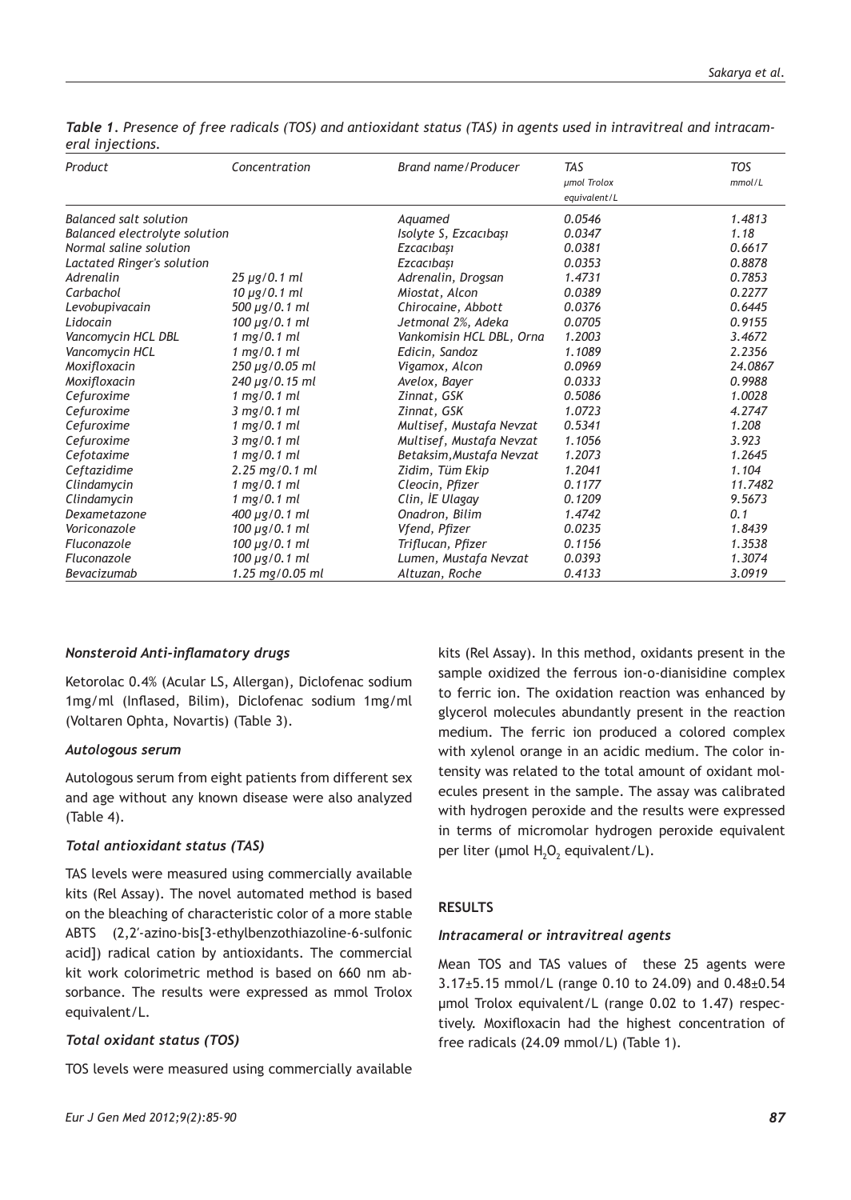| Product                       | Concentration                          | Brand name/Producer      | <b>TAS</b><br>umol Trolox<br>equivalent/L | <b>TOS</b><br>mmol/L |
|-------------------------------|----------------------------------------|--------------------------|-------------------------------------------|----------------------|
| <b>Balanced salt solution</b> |                                        | Aquamed                  | 0.0546                                    | 1.4813               |
| Balanced electrolyte solution |                                        | Isolyte S, Ezcacıbaşı    | 0.0347                                    | 1.18                 |
| Normal saline solution        |                                        | Ezcacıbası               | 0.0381                                    | 0.6617               |
| Lactated Ringer's solution    |                                        | Ezcacıbası               | 0.0353                                    | 0.8878               |
| Adrenalin                     | $25 \mu$ g/0.1 ml                      | Adrenalin, Drogsan       | 1.4731                                    | 0.7853               |
| Carbachol                     | $10 \mu$ g/0.1 ml                      | Miostat, Alcon           | 0.0389                                    | 0.2277               |
| Levobupivacain                | 500 µg/0.1 ml                          | Chirocaine, Abbott       | 0.0376                                    | 0.6445               |
| Lidocain                      | $100 \mu$ g/0.1 ml                     | Jetmonal 2%, Adeka       | 0.0705                                    | 0.9155               |
| Vancomycin HCL DBL            | $1$ mg/0.1 ml                          | Vankomisin HCL DBL, Orna | 1.2003                                    | 3.4672               |
| Vancomycin HCL                | $1$ mg/0.1 ml                          | Edicin, Sandoz           | 1.1089                                    | 2.2356               |
| Moxifloxacin                  | $250 \mu$ g/0.05 ml                    | Vigamox, Alcon           | 0.0969                                    | 24.0867              |
| Moxifloxacin                  | $240 \mu$ g/0.15 ml                    | Avelox, Bayer            | 0.0333                                    | 0.9988               |
| Cefuroxime                    | 1 mg/0.1 ml                            | Zinnat, GSK              | 0.5086                                    | 1.0028               |
| Cefuroxime                    | 3 mg/0.1 ml                            | Zinnat, GSK              | 1.0723                                    | 4.2747               |
| Cefuroxime                    | 1 mg/0.1 ml                            | Multisef, Mustafa Nevzat | 0.5341                                    | 1.208                |
| Cefuroxime                    | 3 mg/0.1 ml                            | Multisef, Mustafa Nevzat | 1.1056                                    | 3.923                |
| Cefotaxime                    | 1 mg/0.1 ml                            | Betaksim, Mustafa Nevzat | 1.2073                                    | 1.2645               |
| Ceftazidime                   | $2.25 \,\mathrm{mg}/0.1 \,\mathrm{ml}$ | Zidim, Tüm Ekip          | 1.2041                                    | 1.104                |
| Clindamycin                   | 1 mg/0.1 ml                            | Cleocin, Pfizer          | 0.1177                                    | 11,7482              |
| Clindamycin                   | 1 mg/0.1 ml                            | Clin, İE Ulagay          | 0.1209                                    | 9.5673               |
| Dexametazone                  | 400 µg/0.1 ml                          | Onadron, Bilim           | 1.4742                                    | 0.1                  |
| Voriconazole                  | $100 \mu$ g/0.1 ml                     | Vfend, Pfizer            | 0.0235                                    | 1.8439               |
| Fluconazole                   | $100 \mu$ g/0.1 ml                     | Triflucan, Pfizer        | 0.1156                                    | 1.3538               |
| Fluconazole                   | 100 µg/0.1 ml                          | Lumen, Mustafa Nevzat    | 0.0393                                    | 1.3074               |
| Bevacizumab                   | 1.25 mg/0.05 ml                        | Altuzan, Roche           | 0.4133                                    | 3.0919               |

*Table 1. Presence of free radicals (TOS) and antioxidant status (TAS) in agents used in intravitreal and intracameral injections.*

## *Nonsteroid Anti-inflamatory drugs*

Ketorolac 0.4% (Acular LS, Allergan), Diclofenac sodium 1mg/ml (Inflased, Bilim), Diclofenac sodium 1mg/ml (Voltaren Ophta, Novartis) (Table 3).

### *Autologous serum*

Autologous serum from eight patients from different sex and age without any known disease were also analyzed (Table 4).

#### *Total antioxidant status (TAS)*

TAS levels were measured using commercially available kits (Rel Assay). The novel automated method is based on the bleaching of characteristic color of a more stable ABTS (2,2′-azino-bis[3-ethylbenzothiazoline-6-sulfonic acid]) radical cation by antioxidants. The commercial kit work colorimetric method is based on 660 nm absorbance. The results were expressed as mmol Trolox equivalent/L.

## *Total oxidant status (TOS)*

TOS levels were measured using commercially available

kits (Rel Assay). In this method, oxidants present in the sample oxidized the ferrous ion-o-dianisidine complex to ferric ion. The oxidation reaction was enhanced by glycerol molecules abundantly present in the reaction medium. The ferric ion produced a colored complex with xylenol orange in an acidic medium. The color intensity was related to the total amount of oxidant molecules present in the sample. The assay was calibrated with hydrogen peroxide and the results were expressed in terms of micromolar hydrogen peroxide equivalent per liter (µmol  $H_2O_2$  equivalent/L).

## **RESULTS**

#### *Intracameral or intravitreal agents*

Mean TOS and TAS values of these 25 agents were 3.17±5.15 mmol/L (range 0.10 to 24.09) and 0.48±0.54 μmol Trolox equivalent/L (range 0.02 to 1.47) respectively. Moxifloxacin had the highest concentration of free radicals (24.09 mmol/L) (Table 1).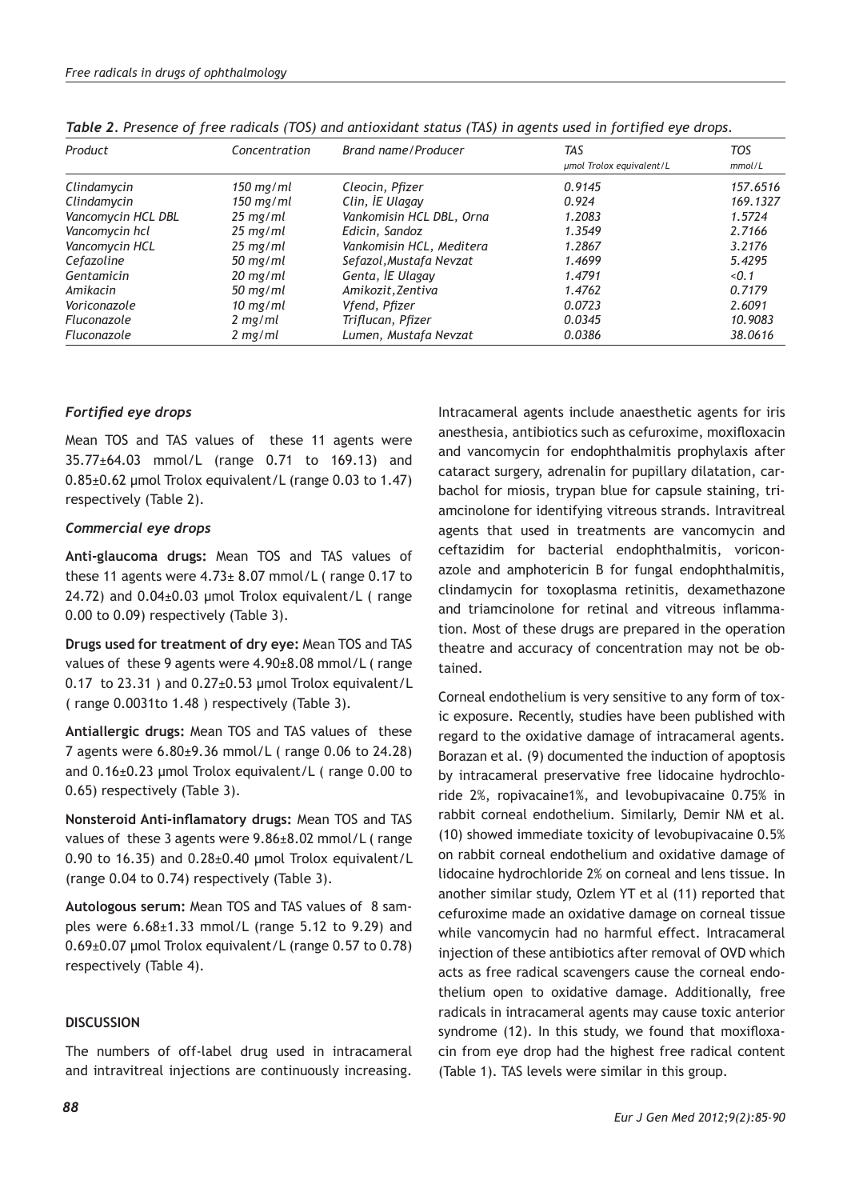| Product            | Concentration       | Brand name/Producer      | TAS                      | TOS      |
|--------------------|---------------------|--------------------------|--------------------------|----------|
|                    |                     |                          | umol Trolox equivalent/L | mmol/L   |
| Clindamycin        | $150 \text{ mg/ml}$ | Cleocin, Pfizer          | 0.9145                   | 157.6516 |
| Clindamycin        | $150 \text{ mg/ml}$ | Clin, İE Ulagay          | 0.924                    | 169.1327 |
| Vancomycin HCL DBL | $25 \text{ mg/ml}$  | Vankomisin HCL DBL, Orna | 1.2083                   | 1.5724   |
| Vancomycin hcl     | $25 \text{ mg/ml}$  | Edicin, Sandoz           | 1.3549                   | 2.7166   |
| Vancomycin HCL     | $25 \text{ mg/ml}$  | Vankomisin HCL, Meditera | 1.2867                   | 3.2176   |
| Cefazoline         | $50$ mg/ml          | Sefazol, Mustafa Nevzat  | 1.4699                   | 5.4295   |
| Gentamicin         | $20 \text{ mg/ml}$  | Genta, İE Ulagay         | 1.4791                   | < 0.1    |
| Amikacin           | $50$ mg/ml          | Amikozit, Zentiva        | 1.4762                   | 0.7179   |
| Voriconazole       | $10 \text{ mg/ml}$  | Vfend, Pfizer            | 0.0723                   | 2.6091   |
| Fluconazole        | $2 \text{ mg/ml}$   | Triflucan, Pfizer        | 0.0345                   | 10.9083  |
| Fluconazole        | $2$ mg/ml           | Lumen, Mustafa Nevzat    | 0.0386                   | 38.0616  |

*Table 2. Presence of free radicals (TOS) and antioxidant status (TAS) in agents used in fortified eye drops.*

## *Fortified eye drops*

Mean TOS and TAS values of these 11 agents were 35.77±64.03 mmol/L (range 0.71 to 169.13) and  $0.85\pm0.62$  µmol Trolox equivalent/L (range 0.03 to 1.47) respectively (Table 2).

## *Commercial eye drops*

**Anti-glaucoma drugs:** Mean TOS and TAS values of these 11 agents were  $4.73 \pm 8.07$  mmol/L (range 0.17 to 24.72) and 0.04±0.03 μmol Trolox equivalent/L ( range 0.00 to 0.09) respectively (Table 3).

**Drugs used for treatment of dry eye:** Mean TOS and TAS values of these 9 agents were 4.90±8.08 mmol/L ( range 0.17 to 23.31 ) and  $0.27 \pm 0.53$  µmol Trolox equivalent/L ( range 0.0031to 1.48 ) respectively (Table 3).

**Antiallergic drugs:** Mean TOS and TAS values of these 7 agents were 6.80±9.36 mmol/L ( range 0.06 to 24.28) and 0.16±0.23 μmol Trolox equivalent/L ( range 0.00 to 0.65) respectively (Table 3).

**Nonsteroid Anti-inflamatory drugs:** Mean TOS and TAS values of these 3 agents were 9.86±8.02 mmol/L ( range 0.90 to 16.35) and 0.28±0.40 μmol Trolox equivalent/L (range 0.04 to 0.74) respectively (Table 3).

**Autologous serum:** Mean TOS and TAS values of 8 samples were 6.68±1.33 mmol/L (range 5.12 to 9.29) and 0.69±0.07 μmol Trolox equivalent/L (range 0.57 to 0.78) respectively (Table 4).

## **DISCUSSION**

The numbers of off-label drug used in intracameral and intravitreal injections are continuously increasing. Intracameral agents include anaesthetic agents for iris anesthesia, antibiotics such as cefuroxime, moxifloxacin and vancomycin for endophthalmitis prophylaxis after cataract surgery, adrenalin for pupillary dilatation, carbachol for miosis, trypan blue for capsule staining, triamcinolone for identifying vitreous strands. Intravitreal agents that used in treatments are vancomycin and ceftazidim for bacterial endophthalmitis, voriconazole and amphotericin B for fungal endophthalmitis, clindamycin for toxoplasma retinitis, dexamethazone and triamcinolone for retinal and vitreous inflammation. Most of these drugs are prepared in the operation theatre and accuracy of concentration may not be obtained.

Corneal endothelium is very sensitive to any form of toxic exposure. Recently, studies have been published with regard to the oxidative damage of intracameral agents. Borazan et al. (9) documented the induction of apoptosis by intracameral preservative free lidocaine hydrochloride 2%, ropivacaine1%, and levobupivacaine 0.75% in rabbit corneal endothelium. Similarly, Demir NM et al. (10) showed immediate toxicity of levobupivacaine 0.5% on rabbit corneal endothelium and oxidative damage of lidocaine hydrochloride 2% on corneal and lens tissue. In another similar study, Ozlem YT et al (11) reported that cefuroxime made an oxidative damage on corneal tissue while vancomycin had no harmful effect. Intracameral injection of these antibiotics after removal of OVD which acts as free radical scavengers cause the corneal endothelium open to oxidative damage. Additionally, free radicals in intracameral agents may cause toxic anterior syndrome (12). In this study, we found that moxifloxacin from eye drop had the highest free radical content (Table 1). TAS levels were similar in this group.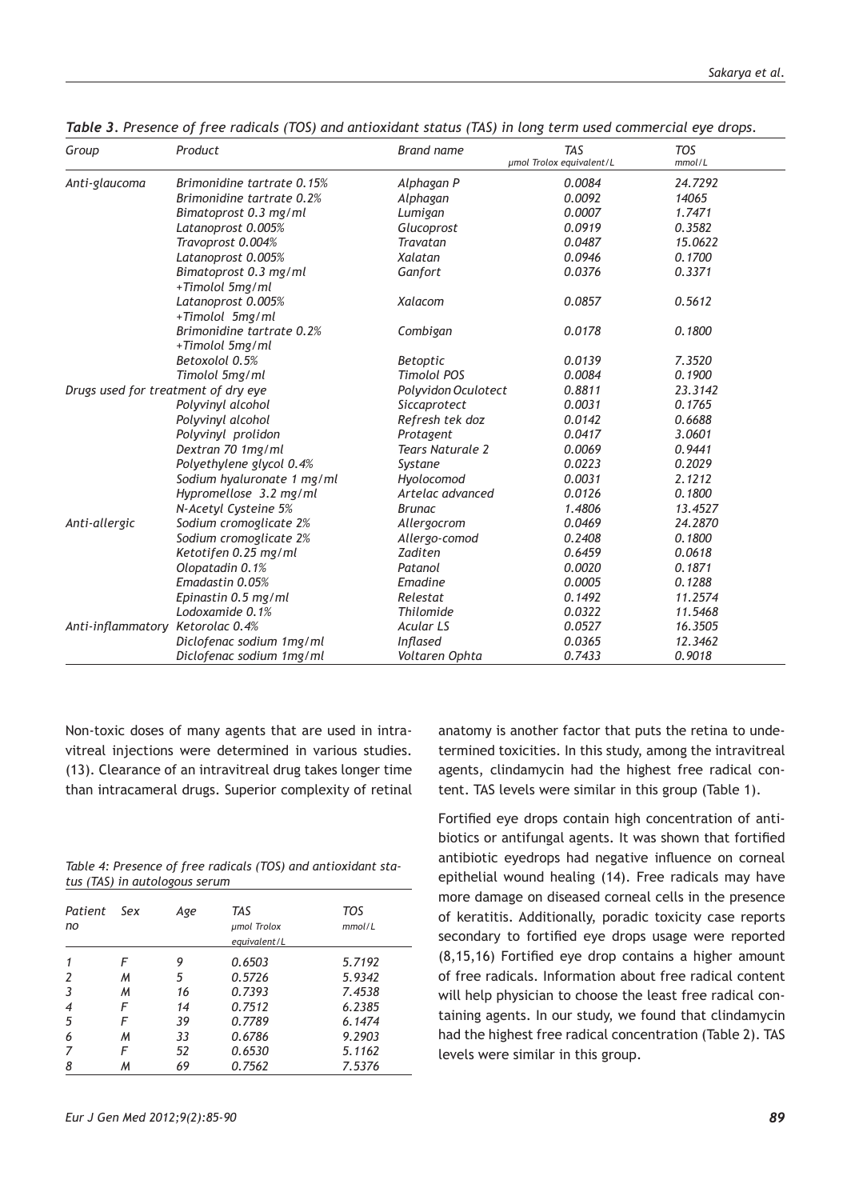| Group                               | Product                    | <b>Brand name</b>       | <b>TAS</b><br>µmol Trolox equivalent/L | <b>TOS</b><br>mmol/L |
|-------------------------------------|----------------------------|-------------------------|----------------------------------------|----------------------|
| Anti-glaucoma                       | Brimonidine tartrate 0.15% | Alphagan P              | 0.0084                                 | 24.7292              |
|                                     | Brimonidine tartrate 0.2%  | Alphagan                | 0.0092                                 | 14065                |
|                                     | Bimatoprost 0.3 mg/ml      | Lumigan                 | 0.0007                                 | 1.7471               |
|                                     | Latanoprost 0.005%         | Glucoprost              | 0.0919                                 | 0.3582               |
|                                     | Travoprost 0.004%          | <b>Travatan</b>         | 0.0487                                 | 15.0622              |
|                                     | Latanoprost 0.005%         | Xalatan                 | 0.0946                                 | 0.1700               |
|                                     | Bimatoprost 0.3 mg/ml      | Ganfort                 | 0.0376                                 | 0.3371               |
|                                     | +Timolol 5mg/ml            |                         |                                        |                      |
|                                     | Latanoprost 0.005%         | <b>Xalacom</b>          | 0.0857                                 | 0.5612               |
|                                     | +Timolol 5mg/ml            |                         |                                        |                      |
|                                     | Brimonidine tartrate 0.2%  | Combigan                | 0.0178                                 | 0.1800               |
|                                     | +Timolol 5mg/ml            |                         |                                        |                      |
|                                     | Betoxolol 0.5%             | <b>Betoptic</b>         | 0.0139                                 | 7.3520               |
|                                     | Timolol 5mg/ml             | <b>Timolol POS</b>      | 0.0084                                 | 0.1900               |
| Drugs used for treatment of dry eye |                            | Polyvidon Oculotect     | 0.8811                                 | 23.3142              |
|                                     | Polyvinyl alcohol          | Siccaprotect            | 0.0031                                 | 0.1765               |
|                                     | Polyvinyl alcohol          | Refresh tek doz         | 0.0142                                 | 0.6688               |
|                                     | Polyvinyl prolidon         | Protagent               | 0.0417                                 | 3.0601               |
|                                     | Dextran 70 1mg/ml          | <b>Tears Naturale 2</b> | 0.0069                                 | 0.9441               |
|                                     | Polyethylene glycol 0.4%   | Systane                 | 0.0223                                 | 0.2029               |
|                                     | Sodium hyaluronate 1 mg/ml | Hyolocomod              | 0.0031                                 | 2.1212               |
|                                     | Hypromellose 3.2 mg/ml     | Artelac advanced        | 0.0126                                 | 0.1800               |
|                                     | N-Acetyl Cysteine 5%       | <b>Brunac</b>           | 1.4806                                 | 13.4527              |
| Anti-allergic                       | Sodium cromoglicate 2%     | Allergocrom             | 0.0469                                 | 24.2870              |
|                                     | Sodium cromoglicate 2%     | Allergo-comod           | 0.2408                                 | 0.1800               |
|                                     | Ketotifen 0.25 mg/ml       | <b>Zaditen</b>          | 0.6459                                 | 0.0618               |
|                                     | Olopatadin 0.1%            | Patanol                 | 0.0020                                 | 0.1871               |
|                                     | Emadastin 0.05%            | Emadine                 | 0.0005                                 | 0.1288               |
|                                     | Epinastin 0.5 mg/ml        | Relestat                | 0.1492                                 | 11.2574              |
|                                     | Lodoxamide 0.1%            | <b>Thilomide</b>        | 0.0322                                 | 11.5468              |
| Anti-inflammatory Ketorolac 0.4%    |                            | <b>Acular LS</b>        | 0.0527                                 | 16.3505              |
|                                     | Diclofenac sodium 1mg/ml   | <b>Inflased</b>         | 0.0365                                 | 12.3462              |
|                                     | Diclofenac sodium 1mg/ml   | Voltaren Ophta          | 0.7433                                 | 0.9018               |

*Table 3. Presence of free radicals (TOS) and antioxidant status (TAS) in long term used commercial eye drops.*

Non-toxic doses of many agents that are used in intravitreal injections were determined in various studies. (13). Clearance of an intravitreal drug takes longer time than intracameral drugs. Superior complexity of retinal

*Table 4: Presence of free radicals (TOS) and antioxidant status (TAS) in autologous serum*

| Patient Sex<br>no |   | Age | TAS<br>umol Trolox<br>equivalent/L | <b>TOS</b><br>mmol/L |
|-------------------|---|-----|------------------------------------|----------------------|
|                   | F | 9   | 0.6503                             | 5.7192               |
| 2                 | м | 5   | 0.5726                             | 5.9342               |
| 3                 | м | 16  | 0.7393                             | 7.4538               |
| 4                 | F | 14  | 0.7512                             | 6.2385               |
| 5                 | F | 39  | 0.7789                             | 6.1474               |
| 6                 | м | 33  | 0.6786                             | 9.2903               |
| 7                 | F | 52  | 0.6530                             | 5.1162               |
| 8                 | м | 69  | 0.7562                             | 7.5376               |

anatomy is another factor that puts the retina to undetermined toxicities. In this study, among the intravitreal agents, clindamycin had the highest free radical content. TAS levels were similar in this group (Table 1).

Fortified eye drops contain high concentration of antibiotics or antifungal agents. It was shown that fortified antibiotic eyedrops had negative influence on corneal epithelial wound healing (14). Free radicals may have more damage on diseased corneal cells in the presence of keratitis. Additionally, poradic toxicity case reports secondary to fortified eye drops usage were reported (8,15,16) Fortified eye drop contains a higher amount of free radicals. Information about free radical content will help physician to choose the least free radical containing agents. In our study, we found that clindamycin had the highest free radical concentration (Table 2). TAS levels were similar in this group.